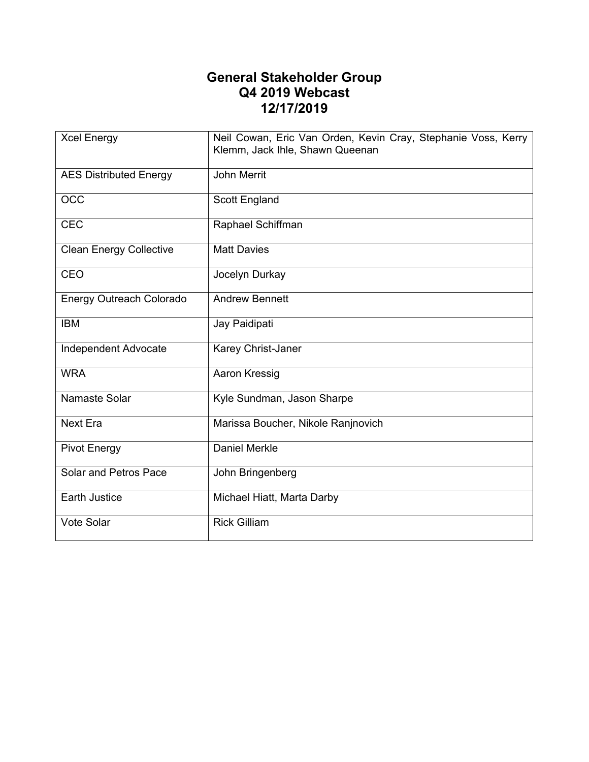# **General Stakeholder Group Q4 2019 Webcast 12/17/2019**

| <b>Xcel Energy</b>             | Neil Cowan, Eric Van Orden, Kevin Cray, Stephanie Voss, Kerry<br>Klemm, Jack Ihle, Shawn Queenan |
|--------------------------------|--------------------------------------------------------------------------------------------------|
| <b>AES Distributed Energy</b>  | <b>John Merrit</b>                                                                               |
| <b>OCC</b>                     | Scott England                                                                                    |
| <b>CEC</b>                     | Raphael Schiffman                                                                                |
| <b>Clean Energy Collective</b> | <b>Matt Davies</b>                                                                               |
| CEO                            | Jocelyn Durkay                                                                                   |
| Energy Outreach Colorado       | <b>Andrew Bennett</b>                                                                            |
| <b>IBM</b>                     | Jay Paidipati                                                                                    |
| Independent Advocate           | Karey Christ-Janer                                                                               |
| <b>WRA</b>                     | Aaron Kressig                                                                                    |
| Namaste Solar                  | Kyle Sundman, Jason Sharpe                                                                       |
| <b>Next Era</b>                | Marissa Boucher, Nikole Ranjnovich                                                               |
| <b>Pivot Energy</b>            | <b>Daniel Merkle</b>                                                                             |
| <b>Solar and Petros Pace</b>   | John Bringenberg                                                                                 |
| <b>Earth Justice</b>           | Michael Hiatt, Marta Darby                                                                       |
| Vote Solar                     | <b>Rick Gilliam</b>                                                                              |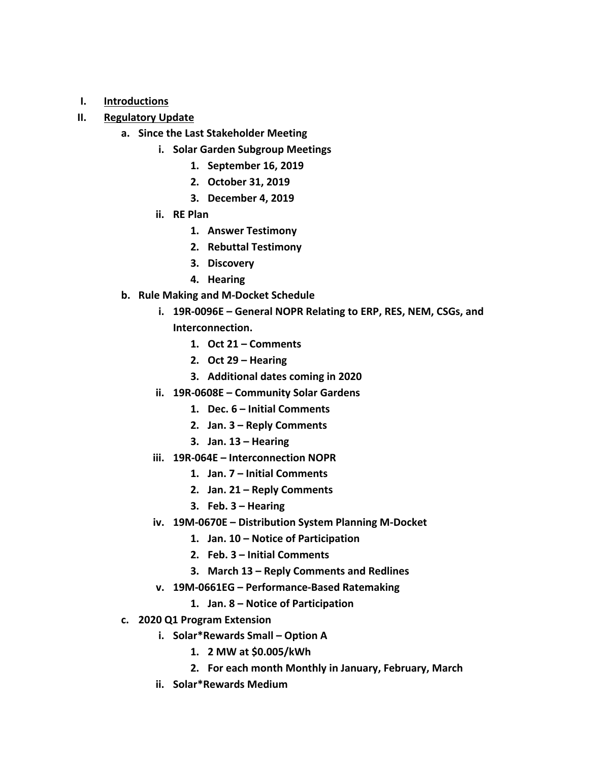#### **I. Introductions**

#### **II. Regulatory Update**

- **a. Since the Last Stakeholder Meeting** 
	- **i. Solar Garden Subgroup Meetings** 
		- **1. September 16, 2019**
		- **2. October 31, 2019**
		- **3. December 4, 2019**
	- **ii. RE Plan** 
		- **1. Answer Testimony**
		- **2. Rebuttal Testimony**
		- **3. Discovery**
		- **4. Hearing**
- **b. Rule Making and M‐Docket Schedule** 
	- **i. 19R‐0096E General NOPR Relating to ERP, RES, NEM, CSGs, and Interconnection.** 
		- **1. Oct 21 Comments**
		- **2. Oct 29 Hearing**
		- **3. Additional dates coming in 2020**
	- **ii. 19R‐0608E Community Solar Gardens** 
		- **1. Dec. 6 Initial Comments**
		- **2. Jan. 3 Reply Comments**
		- **3. Jan. 13 Hearing**
	- **iii. 19R‐064E Interconnection NOPR** 
		- **1. Jan. 7 Initial Comments**
		- **2. Jan. 21 Reply Comments**
		- **3. Feb. 3 Hearing**
	- **iv. 19M‐0670E Distribution System Planning M‐Docket** 
		- **1. Jan. 10 Notice of Participation**
		- **2. Feb. 3 Initial Comments**
		- **3. March 13 Reply Comments and Redlines**
	- **v. 19M‐0661EG Performance‐Based Ratemaking** 
		- **1. Jan. 8 Notice of Participation**
- **c. 2020 Q1 Program Extension** 
	- **i. Solar\*Rewards Small Option A** 
		- **1. 2 MW at \$0.005/kWh**
		- **2. For each month Monthly in January, February, March**
	- **ii. Solar\*Rewards Medium**